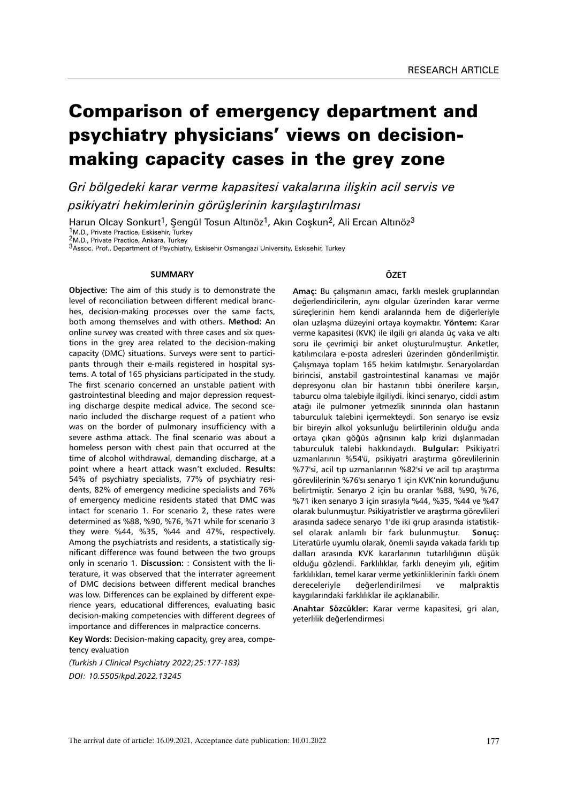# Comparison of emergency department and psychiatry physicians' views on decisionmaking capacity cases in the grey zone

*Gri bölgedeki karar verme kapasitesi vakalarına ilişkin acil servis ve psikiyatri hekimlerinin görüşlerinin karşılaştırılması*

Harun Olcay Sonkurt<sup>1</sup>, Şengül Tosun Altınöz<sup>1</sup>, Akın Coşkun<sup>2</sup>, Ali Ercan Altınöz<sup>3</sup> 1M.D., Private Practice, Eskisehir, Turkey 2M.D., Private Practice, Ankara, Turkey

3Assoc. Prof., Department of Psychiatry, Eskisehir Osmangazi University, Eskisehir, Turkey

#### **SUMMARY**

**Objective:** The aim of this study is to demonstrate the level of reconciliation between different medical branches, decision-making processes over the same facts, both among themselves and with others. **Method:** An online survey was created with three cases and six questions in the grey area related to the decision-making capacity (DMC) situations. Surveys were sent to participants through their e-mails registered in hospital systems. A total of 165 physicians participated in the study. The first scenario concerned an unstable patient with gastrointestinal bleeding and major depression requesting discharge despite medical advice. The second scenario included the discharge request of a patient who was on the border of pulmonary insufficiency with a severe asthma attack. The final scenario was about a homeless person with chest pain that occurred at the time of alcohol withdrawal, demanding discharge, at a point where a heart attack wasn't excluded. **Results:** 54% of psychiatry specialists, 77% of psychiatry residents, 82% of emergency medicine specialists and 76% of emergency medicine residents stated that DMC was intact for scenario 1. For scenario 2, these rates were determined as %88, %90, %76, %71 while for scenario 3 they were %44, %35, %44 and 47%, respectively. Among the psychiatrists and residents, a statistically significant difference was found between the two groups only in scenario 1. **Discussion:** : Consistent with the literature, it was observed that the interrater agreement of DMC decisions between different medical branches was low. Differences can be explained by different experience years, educational differences, evaluating basic decision-making competencies with different degrees of importance and differences in malpractice concerns.

**Key Words:** Decision-making capacity, grey area, competency evaluation

*(Turkish J Clinical Psychiatry 2022;25:177-183) DOI: 10.5505/kpd.2022.13245*

## **ÖZET**

**Amaç:** Bu çalışmanın amacı, farklı meslek gruplarından değerlendiricilerin, aynı olgular üzerinden karar verme süreçlerinin hem kendi aralarında hem de diğerleriyle olan uzlaşma düzeyini ortaya koymaktır. **Yöntem:** Karar verme kapasitesi (KVK) ile ilgili gri alanda üç vaka ve altı soru ile çevrimiçi bir anket oluşturulmuştur. Anketler, katılımcılara e-posta adresleri üzerinden gönderilmiştir. Çalışmaya toplam 165 hekim katılmıştır. Senaryolardan birincisi, anstabil gastrointestinal kanaması ve majör depresyonu olan bir hastanın tıbbi önerilere karşın, taburcu olma talebiyle ilgiliydi. İkinci senaryo, ciddi astım atağı ile pulmoner yetmezlik sınırında olan hastanın taburculuk talebini içermekteydi. Son senaryo ise evsiz bir bireyin alkol yoksunluğu belirtilerinin olduğu anda ortaya çıkan göğüs ağrısının kalp krizi dışlanmadan taburculuk talebi hakkındaydı. **Bulgular:** Psikiyatri uzmanlarının %54'ü, psikiyatri araştırma görevlilerinin %77'si, acil tıp uzmanlarının %82'si ve acil tıp araştırma görevlilerinin %76'sı senaryo 1 için KVK'nin korunduğunu belirtmiştir. Senaryo 2 için bu oranlar %88, %90, %76, %71 iken senaryo 3 için sırasıyla %44, %35, %44 ve %47 olarak bulunmuştur. Psikiyatristler ve araştırma görevlileri arasında sadece senaryo 1'de iki grup arasında istatistiksel olarak anlamlı bir fark bulunmuştur. **Sonuç:**  Literatürle uyumlu olarak, önemli sayıda vakada farklı tıp dalları arasında KVK kararlarının tutarlılığının düşük olduğu gözlendi. Farklılıklar, farklı deneyim yılı, eğitim farklılıkları, temel karar verme yetkinliklerinin farklı önem dereceleriyle değerlendirilmesi ve malpraktis kaygılarındaki farklılıklar ile açıklanabilir.

**Anahtar Sözcükler:** Karar verme kapasitesi, gri alan, yeterlilik değerlendirmesi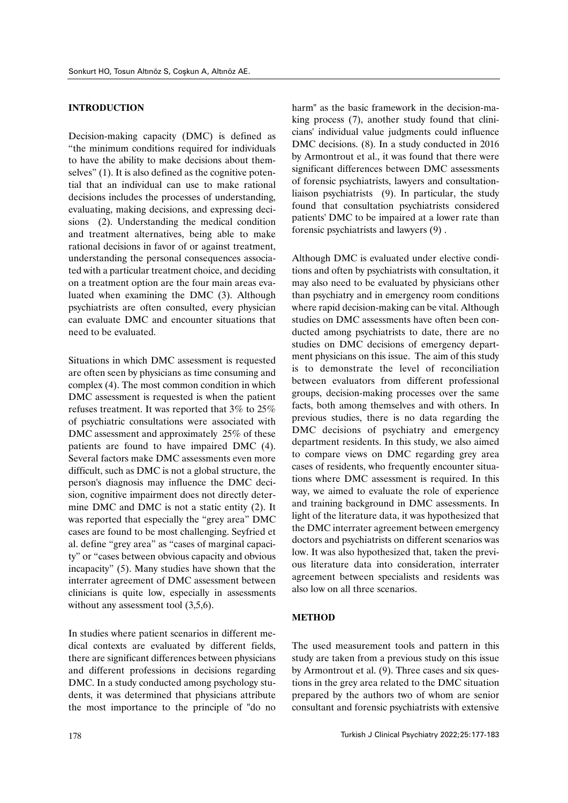## **INTRODUCTION**

Decision-making capacity (DMC) is defined as "the minimum conditions required for individuals to have the ability to make decisions about themselves" (1). It is also defined as the cognitive potential that an individual can use to make rational decisions includes the processes of understanding, evaluating, making decisions, and expressing decisions (2). Understanding the medical condition and treatment alternatives, being able to make rational decisions in favor of or against treatment, understanding the personal consequences associated with a particular treatment choice, and deciding on a treatment option are the four main areas evaluated when examining the DMC (3). Although psychiatrists are often consulted, every physician can evaluate DMC and encounter situations that need to be evaluated.

Situations in which DMC assessment is requested are often seen by physicians as time consuming and complex (4). The most common condition in which DMC assessment is requested is when the patient refuses treatment. It was reported that 3% to 25% of psychiatric consultations were associated with DMC assessment and approximately 25% of these patients are found to have impaired DMC (4). Several factors make DMC assessments even more difficult, such as DMC is not a global structure, the person's diagnosis may influence the DMC decision, cognitive impairment does not directly determine DMC and DMC is not a static entity (2). It was reported that especially the "grey area" DMC cases are found to be most challenging. Seyfried et al. define "grey area" as "cases of marginal capacity" or "cases between obvious capacity and obvious incapacity" (5). Many studies have shown that the interrater agreement of DMC assessment between clinicians is quite low, especially in assessments without any assessment tool  $(3,5,6)$ .

In studies where patient scenarios in different medical contexts are evaluated by different fields, there are significant differences between physicians and different professions in decisions regarding DMC. In a study conducted among psychology students, it was determined that physicians attribute the most importance to the principle of "do no harm" as the basic framework in the decision-making process (7), another study found that clinicians' individual value judgments could influence DMC decisions. (8). In a study conducted in 2016 by Armontrout et al., it was found that there were significant differences between DMC assessments of forensic psychiatrists, lawyers and consultationliaison psychiatrists (9). In particular, the study found that consultation psychiatrists considered patients' DMC to be impaired at a lower rate than forensic psychiatrists and lawyers (9) .

Although DMC is evaluated under elective conditions and often by psychiatrists with consultation, it may also need to be evaluated by physicians other than psychiatry and in emergency room conditions where rapid decision-making can be vital. Although studies on DMC assessments have often been conducted among psychiatrists to date, there are no studies on DMC decisions of emergency department physicians on this issue. The aim of this study is to demonstrate the level of reconciliation between evaluators from different professional groups, decision-making processes over the same facts, both among themselves and with others. In previous studies, there is no data regarding the DMC decisions of psychiatry and emergency department residents. In this study, we also aimed to compare views on DMC regarding grey area cases of residents, who frequently encounter situations where DMC assessment is required. In this way, we aimed to evaluate the role of experience and training background in DMC assessments. In light of the literature data, it was hypothesized that the DMC interrater agreement between emergency doctors and psychiatrists on different scenarios was low. It was also hypothesized that, taken the previous literature data into consideration, interrater agreement between specialists and residents was also low on all three scenarios.

## **METHOD**

The used measurement tools and pattern in this study are taken from a previous study on this issue by Armontrout et al. (9). Three cases and six questions in the grey area related to the DMC situation prepared by the authors two of whom are senior consultant and forensic psychiatrists with extensive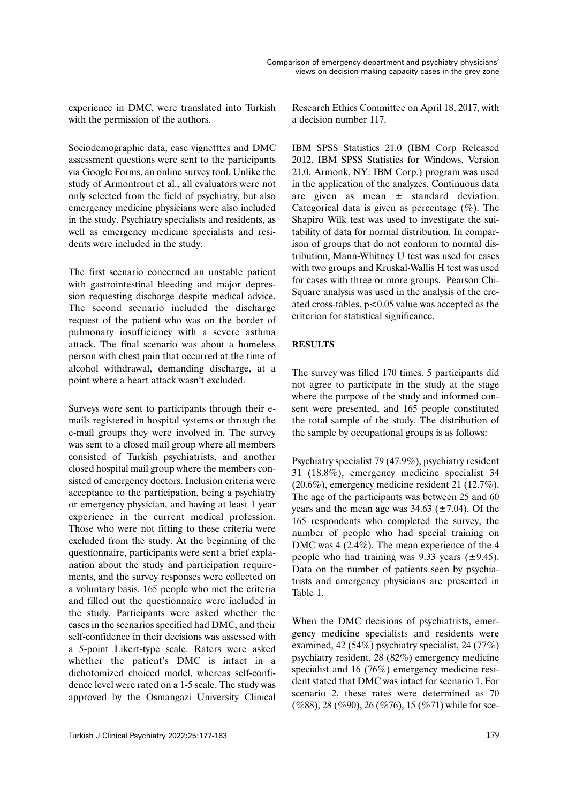experience in DMC, were translated into Turkish with the permission of the authors.

Sociodemographic data, case vignetttes and DMC assessment questions were sent to the participants via Google Forms, an online survey tool. Unlike the study of Armontrout et al., all evaluators were not only selected from the field of psychiatry, but also emergency medicine physicians were also included in the study. Psychiatry specialists and residents, as well as emergency medicine specialists and residents were included in the study.

The first scenario concerned an unstable patient with gastrointestinal bleeding and major depression requesting discharge despite medical advice. The second scenario included the discharge request of the patient who was on the border of pulmonary insufficiency with a severe asthma attack. The final scenario was about a homeless person with chest pain that occurred at the time of alcohol withdrawal, demanding discharge, at a point where a heart attack wasn't excluded.

Surveys were sent to participants through their emails registered in hospital systems or through the e-mail groups they were involved in. The survey was sent to a closed mail group where all members consisted of Turkish psychiatrists, and another closed hospital mail group where the members consisted of emergency doctors. Inclusion criteria were acceptance to the participation, being a psychiatry or emergency physician, and having at least 1 year experience in the current medical profession. Those who were not fitting to these criteria were excluded from the study. At the beginning of the questionnaire, participants were sent a brief explanation about the study and participation requirements, and the survey responses were collected on a voluntary basis. 165 people who met the criteria and filled out the questionnaire were included in the study. Participants were asked whether the cases in the scenarios specified had DMC, and their self-confidence in their decisions was assessed with a 5-point Likert-type scale. Raters were asked whether the patient's DMC is intact in a dichotomized choiced model, whereas self-confidence level were rated on a 1-5 scale. The study was approved by the Osmangazi University Clinical

Research Ethics Committee on April 18, 2017, with a decision number 117.

IBM SPSS Statistics 21.0 (IBM Corp Released 2012. IBM SPSS Statistics for Windows, Version 21.0. Armonk, NY: IBM Corp.) program was used in the application of the analyzes. Continuous data are given as mean ± standard deviation. Categorical data is given as percentage  $(\% )$ . The Shapiro Wilk test was used to investigate the suitability of data for normal distribution. In comparison of groups that do not conform to normal distribution, Mann-Whitney U test was used for cases with two groups and Kruskal-Wallis H test was used for cases with three or more groups. Pearson Chi-Square analysis was used in the analysis of the created cross-tables. p<0.05 value was accepted as the criterion for statistical significance.

## **RESULTS**

The survey was filled 170 times. 5 participants did not agree to participate in the study at the stage where the purpose of the study and informed consent were presented, and 165 people constituted the total sample of the study. The distribution of the sample by occupational groups is as follows:

Psychiatry specialist 79 (47.9%), psychiatry resident 31 (18.8%), emergency medicine specialist 34 (20.6%), emergency medicine resident 21 (12.7%). The age of the participants was between 25 and 60 years and the mean age was  $34.63$  ( $\pm 7.04$ ). Of the 165 respondents who completed the survey, the number of people who had special training on DMC was 4 (2.4%). The mean experience of the 4 people who had training was  $9.33$  years ( $\pm 9.45$ ). Data on the number of patients seen by psychiatrists and emergency physicians are presented in Table 1.

When the DMC decisions of psychiatrists, emergency medicine specialists and residents were examined, 42 (54%) psychiatry specialist, 24 (77%) psychiatry resident, 28 (82%) emergency medicine specialist and 16 (76%) emergency medicine resident stated that DMC was intact for scenario 1. For scenario 2, these rates were determined as 70  $(\%88)$ , 28 (%90), 26 (%76), 15 (%71) while for sce-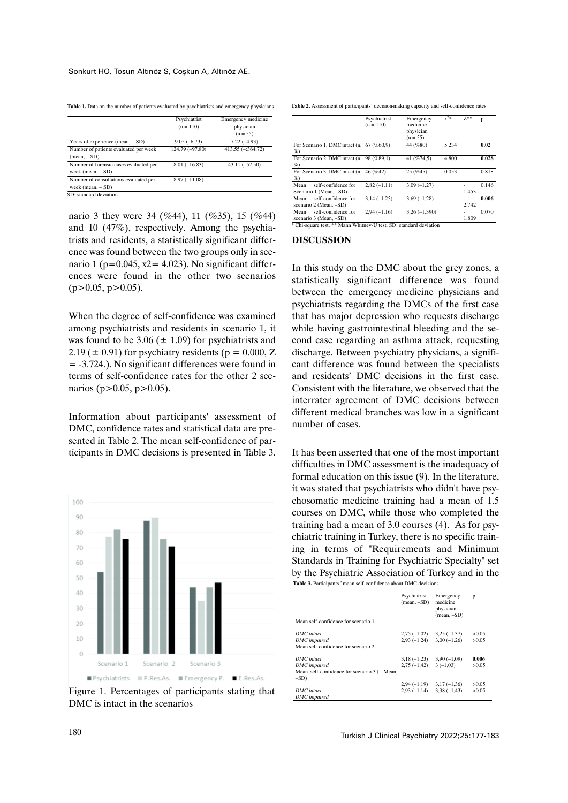Table 1. Data on the number of patients evaluated by psychiatrists and emergency physicians

|                                        | Psychiatrist    | Emergency medicine       |
|----------------------------------------|-----------------|--------------------------|
|                                        | $(n = 110)$     | physician                |
|                                        |                 | $(n = 55)$               |
| Years of experience $(mean, - SD)$     | $9.05(-6.73)$   | $7.22(-4.93)$            |
| Number of patients evaluated per week  | 124.79 (-97.80) | $413,55 (-364,72)$       |
| $(\text{mean}, -SD)$                   |                 |                          |
| Number of forensic cases evaluated per | $8.01(-16.83)$  | $43.11 (-57.50)$         |
| week (mean, $- SD$ )                   |                 |                          |
| Number of consultations evaluated per  | $8.97(-11.08)$  | $\overline{\phantom{0}}$ |
| week (mean, $- SD$ )                   |                 |                          |
| SD: standard deviation                 |                 |                          |

nario 3 they were 34 (%44), 11 (%35), 15 (%44) and 10 (47%), respectively. Among the psychiatrists and residents, a statistically significant difference was found between the two groups only in scenario 1 ( $p=0.045$ , x2= 4.023). No significant differences were found in the other two scenarios  $(p>0.05, p>0.05)$ .

When the degree of self-confidence was examined among psychiatrists and residents in scenario 1, it was found to be  $3.06 \ (\pm 1.09)$  for psychiatrists and 2.19 ( $\pm$  0.91) for psychiatry residents ( $p = 0.000$ , Z = -3.724.). No significant differences were found in terms of self-confidence rates for the other 2 scenarios (p>0.05, p>0.05).

Information about participants' assessment of DMC, confidence rates and statistical data are presented in Table 2. The mean self-confidence of participants in DMC decisions is presented in Table 3.



Figure 1. Percentages of participants stating that DMC is intact in the scenarios

**Table 2.** Assessment of participants' decision-making capacity and self-confidence rates

|                                                                   | Psychiatrist<br>$(n = 110)$ | Emergency<br>medicine<br>physician<br>$(n = 55)$ | $x^{2*}$ | $7**$ | p     |  |  |
|-------------------------------------------------------------------|-----------------------------|--------------------------------------------------|----------|-------|-------|--|--|
| For Scenario 1, DMC intact (n, 67 (%60,9)<br>$\%$                 |                             | 44 (%80)                                         | 5.234    |       | 0.02  |  |  |
| For Scenario 2, DMC intact $(n, 98 \ (%89,1)$<br>$\%$             |                             | 41 (%74.5)                                       | 4.800    |       | 0.028 |  |  |
| For Scenario 3, DMC intact (n. 46 (%42)<br>$\%$                   |                             | 25(%45)                                          | 0.053    |       | 0.818 |  |  |
| self-confidence for<br>Mean<br>Scenario 1 (Mean, -SD)             | $2.82(-1.11)$               | $3.09(-1.27)$                                    |          | 1.453 | 0.146 |  |  |
| self-confidence for<br>Mean<br>scenario 2 (Mean, -SD)             | $3.14(-1.25)$               | $3.69(-1.28)$                                    |          | 2.742 | 0.006 |  |  |
| self-confidence for<br>Mean<br>scenario 3 (Mean, -SD)             | $2.94(-1.16)$               | $3.26(-1.390)$                                   |          | 1.809 | 0.070 |  |  |
| * Chi-square test. ** Mann Whitney-U test. SD: standard deviation |                             |                                                  |          |       |       |  |  |

## **DISCUSSION**

In this study on the DMC about the grey zones, a statistically significant difference was found between the emergency medicine physicians and psychiatrists regarding the DMCs of the first case that has major depression who requests discharge while having gastrointestinal bleeding and the second case regarding an asthma attack, requesting discharge. Between psychiatry physicians, a significant difference was found between the specialists and residents' DMC decisions in the first case. Consistent with the literature, we observed that the interrater agreement of DMC decisions between different medical branches was low in a significant number of cases.

It has been asserted that one of the most important difficulties in DMC assessment is the inadequacy of formal education on this issue (9). In the literature, it was stated that psychiatrists who didn't have psychosomatic medicine training had a mean of 1.5 courses on DMC, while those who completed the training had a mean of 3.0 courses (4). As for psychiatric training in Turkey, there is no specific training in terms of "Requirements and Minimum Standards in Training for Psychiatric Specialty" set by the Psychiatric Association of Turkey and in the **Table 3.** Participants ' mean self-confidence about DMC decisions

|                                                | Psychiatrist  | Emergency     | p     |
|------------------------------------------------|---------------|---------------|-------|
|                                                | $(mean, -SD)$ | medicine      |       |
|                                                |               | physician     |       |
|                                                |               | $(mean, -SD)$ |       |
| Mean self-confidence for scenario 1            |               |               |       |
| DMC intact                                     | $2,75(-1.02)$ | $3,25(-1,37)$ | >0.05 |
| <b>DMC</b> impaired                            | $2.93(-1.24)$ | $3.00(-1.26)$ | >0.05 |
| Mean self-confidence for scenario 2            |               |               |       |
|                                                |               |               |       |
| DMC intact                                     | $3,18(-1,23)$ | $3,90(-1,09)$ | 0.006 |
| DMC impaired                                   | $2.75(-1.42)$ | $3(-1.03)$    | >0.05 |
| Mean self-confidence for scenario 3 (<br>Mean. |               |               |       |
| $-SD$                                          |               |               |       |
|                                                | $2,94(-1,19)$ | $3,17(-1,36)$ | >0.05 |
| DMC intact                                     | $2,93(-1,14)$ | $3,38(-1,43)$ | >0.05 |
| <b>DMC</b> impaired                            |               |               |       |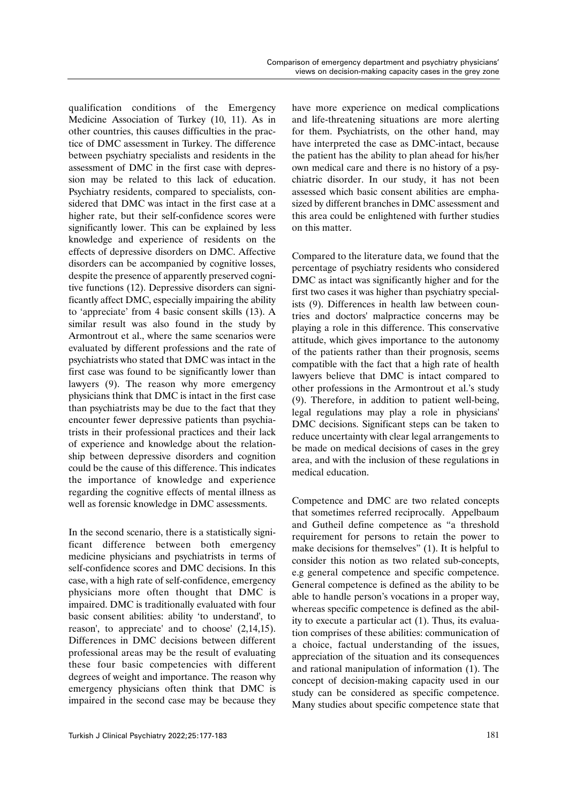qualification conditions of the Emergency Medicine Association of Turkey (10, 11). As in other countries, this causes difficulties in the practice of DMC assessment in Turkey. The difference between psychiatry specialists and residents in the assessment of DMC in the first case with depression may be related to this lack of education. Psychiatry residents, compared to specialists, considered that DMC was intact in the first case at a higher rate, but their self-confidence scores were significantly lower. This can be explained by less knowledge and experience of residents on the effects of depressive disorders on DMC. Affective disorders can be accompanied by cognitive losses, despite the presence of apparently preserved cognitive functions (12). Depressive disorders can significantly affect DMC, especially impairing the ability to 'appreciate' from 4 basic consent skills (13). A similar result was also found in the study by Armontrout et al., where the same scenarios were evaluated by different professions and the rate of psychiatrists who stated that DMC was intact in the first case was found to be significantly lower than lawyers (9). The reason why more emergency physicians think that DMC is intact in the first case than psychiatrists may be due to the fact that they encounter fewer depressive patients than psychiatrists in their professional practices and their lack of experience and knowledge about the relationship between depressive disorders and cognition could be the cause of this difference. This indicates the importance of knowledge and experience regarding the cognitive effects of mental illness as well as forensic knowledge in DMC assessments.

In the second scenario, there is a statistically significant difference between both emergency medicine physicians and psychiatrists in terms of self-confidence scores and DMC decisions. In this case, with a high rate of self-confidence, emergency physicians more often thought that DMC is impaired. DMC is traditionally evaluated with four basic consent abilities: ability 'to understand', to reason', to appreciate' and to choose' (2,14,15). Differences in DMC decisions between different professional areas may be the result of evaluating these four basic competencies with different degrees of weight and importance. The reason why emergency physicians often think that DMC is impaired in the second case may be because they have more experience on medical complications and life-threatening situations are more alerting for them. Psychiatrists, on the other hand, may have interpreted the case as DMC-intact, because the patient has the ability to plan ahead for his/her own medical care and there is no history of a psychiatric disorder. In our study, it has not been assessed which basic consent abilities are emphasized by different branches in DMC assessment and this area could be enlightened with further studies on this matter.

Compared to the literature data, we found that the percentage of psychiatry residents who considered DMC as intact was significantly higher and for the first two cases it was higher than psychiatry specialists (9). Differences in health law between countries and doctors' malpractice concerns may be playing a role in this difference. This conservative attitude, which gives importance to the autonomy of the patients rather than their prognosis, seems compatible with the fact that a high rate of health lawyers believe that DMC is intact compared to other professions in the Armontrout et al.'s study (9). Therefore, in addition to patient well-being, legal regulations may play a role in physicians' DMC decisions. Significant steps can be taken to reduce uncertainty with clear legal arrangements to be made on medical decisions of cases in the grey area, and with the inclusion of these regulations in medical education.

Competence and DMC are two related concepts that sometimes referred reciprocally. Appelbaum and Gutheil define competence as "a threshold requirement for persons to retain the power to make decisions for themselves" (1). It is helpful to consider this notion as two related sub-concepts, e.g general competence and specific competence. General competence is defined as the ability to be able to handle person's vocations in a proper way, whereas specific competence is defined as the ability to execute a particular act (1). Thus, its evaluation comprises of these abilities: communication of a choice, factual understanding of the issues, appreciation of the situation and its consequences and rational manipulation of information (1). The concept of decision-making capacity used in our study can be considered as specific competence. Many studies about specific competence state that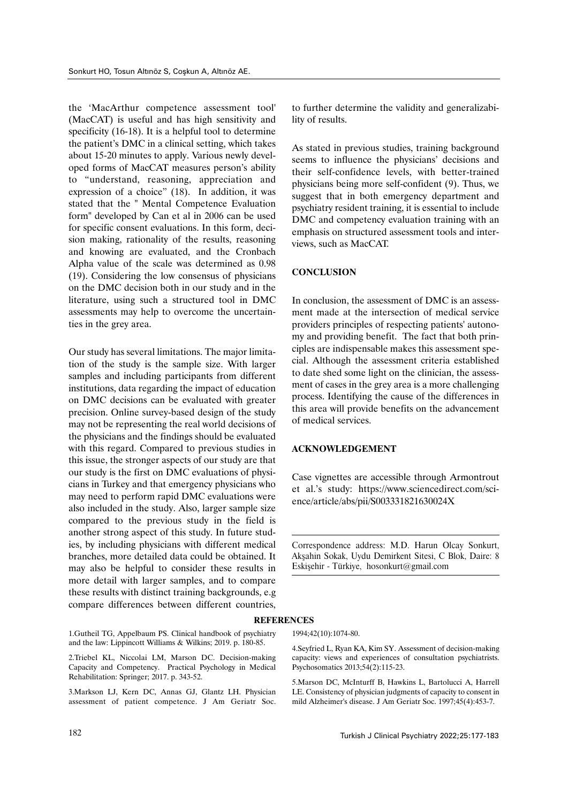the 'MacArthur competence assessment tool' (MacCAT) is useful and has high sensitivity and specificity (16-18). It is a helpful tool to determine the patient's DMC in a clinical setting, which takes about 15-20 minutes to apply. Various newly developed forms of MacCAT measures person's ability to "understand, reasoning, appreciation and expression of a choice" (18). In addition, it was stated that the " Mental Competence Evaluation form" developed by Can et al in 2006 can be used for specific consent evaluations. In this form, decision making, rationality of the results, reasoning and knowing are evaluated, and the Cronbach Alpha value of the scale was determined as 0.98 (19). Considering the low consensus of physicians on the DMC decision both in our study and in the literature, using such a structured tool in DMC assessments may help to overcome the uncertainties in the grey area.

Our study has several limitations. The major limitation of the study is the sample size. With larger samples and including participants from different institutions, data regarding the impact of education on DMC decisions can be evaluated with greater precision. Online survey-based design of the study may not be representing the real world decisions of the physicians and the findings should be evaluated with this regard. Compared to previous studies in this issue, the stronger aspects of our study are that our study is the first on DMC evaluations of physicians in Turkey and that emergency physicians who may need to perform rapid DMC evaluations were also included in the study. Also, larger sample size compared to the previous study in the field is another strong aspect of this study. In future studies, by including physicians with different medical branches, more detailed data could be obtained. It may also be helpful to consider these results in more detail with larger samples, and to compare these results with distinct training backgrounds, e.g compare differences between different countries,

1.Gutheil TG, Appelbaum PS. Clinical handbook of psychiatry and the law: Lippincott Williams & Wilkins; 2019. p. 180-85.

2.Triebel KL, Niccolai LM, Marson DC. Decision-making Capacity and Competency. Practical Psychology in Medical Rehabilitation: Springer; 2017. p. 343-52.

3.Markson LJ, Kern DC, Annas GJ, Glantz LH. Physician assessment of patient competence. J Am Geriatr Soc. to further determine the validity and generalizability of results.

As stated in previous studies, training background seems to influence the physicians' decisions and their self-confidence levels, with better-trained physicians being more self-confident (9). Thus, we suggest that in both emergency department and psychiatry resident training, it is essential to include DMC and competency evaluation training with an emphasis on structured assessment tools and interviews, such as MacCAT.

## **CONCLUSION**

In conclusion, the assessment of DMC is an assessment made at the intersection of medical service providers principles of respecting patients' autonomy and providing benefit. The fact that both principles are indispensable makes this assessment special. Although the assessment criteria established to date shed some light on the clinician, the assessment of cases in the grey area is a more challenging process. Identifying the cause of the differences in this area will provide benefits on the advancement of medical services.

## **ACKNOWLEDGEMENT**

Case vignettes are accessible through Armontrout et al.'s study: https://www.sciencedirect.com/science/article/abs/pii/S003331821630024X

Correspondence address: M.D. Harun Olcay Sonkurt, Akşahin Sokak, Uydu Demirkent Sitesi, C Blok, Daire: 8 Eskişehir - Türkiye, hosonkurt@gmail.com

## **REFERENCES**

1994;42(10):1074-80.

4.Seyfried L, Ryan KA, Kim SY. Assessment of decision-making capacity: views and experiences of consultation psychiatrists. Psychosomatics 2013;54(2):115-23.

5.Marson DC, McInturff B, Hawkins L, Bartolucci A, Harrell LE. Consistency of physician judgments of capacity to consent in mild Alzheimer's disease. J Am Geriatr Soc. 1997;45(4):453-7.